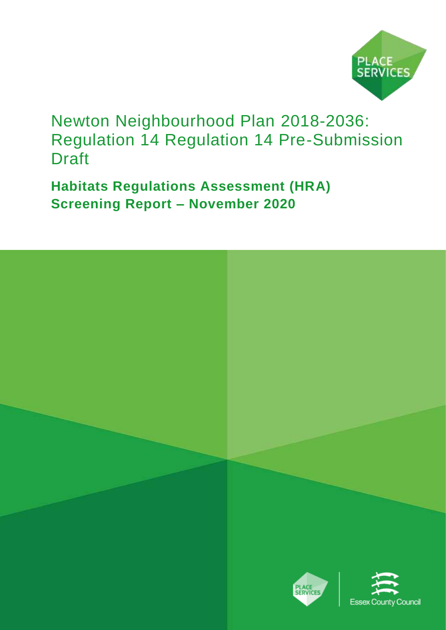

Newton Neighbourhood Plan 2018-2036: Regulation 14 Regulation 14 Pre-Submission Draft

**Habitats Regulations Assessment (HRA) Screening Report – November 2020**

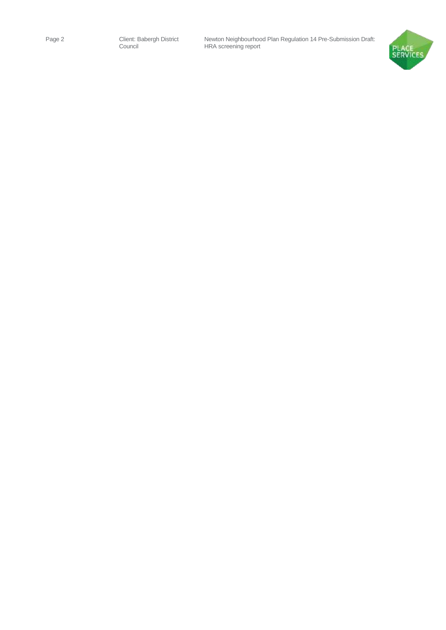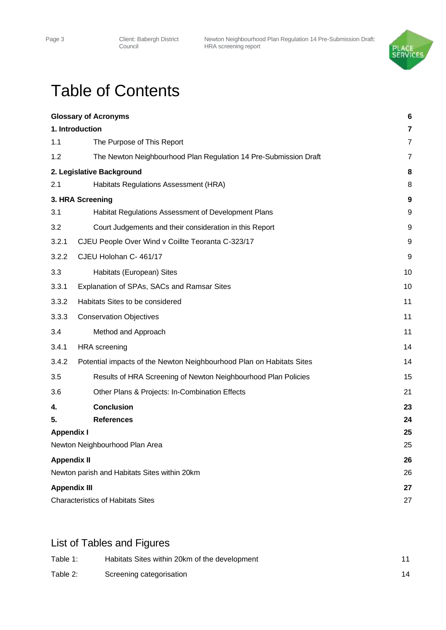

# Table of Contents

|                    | <b>Glossary of Acronyms</b>                                          |                |  |
|--------------------|----------------------------------------------------------------------|----------------|--|
|                    | 1. Introduction                                                      |                |  |
| 1.1                | The Purpose of This Report                                           | $\overline{7}$ |  |
| 1.2                | The Newton Neighbourhood Plan Regulation 14 Pre-Submission Draft     | 7              |  |
|                    | 2. Legislative Background                                            | 8              |  |
| 2.1                | Habitats Regulations Assessment (HRA)                                | 8              |  |
|                    | 3. HRA Screening                                                     | 9              |  |
| 3.1                | Habitat Regulations Assessment of Development Plans                  | 9              |  |
| 3.2                | Court Judgements and their consideration in this Report              | 9              |  |
| 3.2.1              | CJEU People Over Wind v Coillte Teoranta C-323/17                    | 9              |  |
| 3.2.2              | CJEU Holohan C- 461/17                                               | 9              |  |
| 3.3                | Habitats (European) Sites                                            | 10             |  |
| 3.3.1              | Explanation of SPAs, SACs and Ramsar Sites                           | 10             |  |
| 3.3.2              | Habitats Sites to be considered                                      | 11             |  |
| 3.3.3              | <b>Conservation Objectives</b>                                       | 11             |  |
| 3.4                | Method and Approach                                                  | 11             |  |
| 3.4.1              | <b>HRA</b> screening                                                 | 14             |  |
| 3.4.2              | Potential impacts of the Newton Neighbourhood Plan on Habitats Sites | 14             |  |
| 3.5                | Results of HRA Screening of Newton Neighbourhood Plan Policies       | 15             |  |
| 3.6                | Other Plans & Projects: In-Combination Effects                       | 21             |  |
| 4.                 | <b>Conclusion</b>                                                    | 23             |  |
| 5.                 | <b>References</b>                                                    | 24             |  |
| <b>Appendix I</b>  |                                                                      | 25             |  |
|                    | Newton Neighbourhood Plan Area                                       | 25             |  |
| <b>Appendix II</b> |                                                                      | 26             |  |
|                    | Newton parish and Habitats Sites within 20km                         |                |  |
|                    | <b>Appendix III</b>                                                  |                |  |
|                    | <b>Characteristics of Habitats Sites</b>                             |                |  |

## List of Tables and Figures

| Table 1: | Habitats Sites within 20km of the development |    |
|----------|-----------------------------------------------|----|
| Table 2: | Screening categorisation                      | 14 |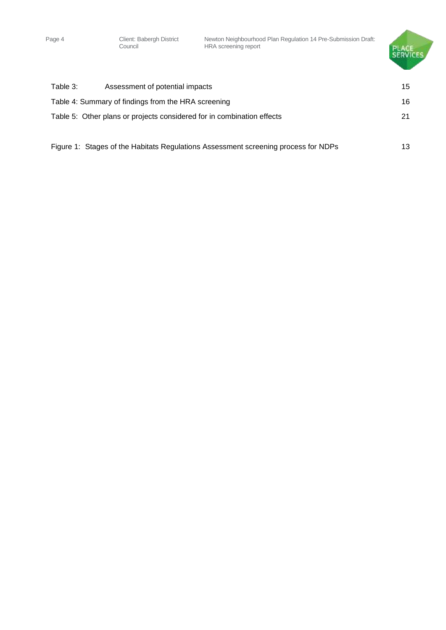

| Table 3: | Assessment of potential impacts                                                    | 15 |
|----------|------------------------------------------------------------------------------------|----|
|          | Table 4: Summary of findings from the HRA screening                                | 16 |
|          | Table 5: Other plans or projects considered for in combination effects             | 21 |
|          |                                                                                    |    |
|          | Figure 1: Stages of the Habitats Regulations Assessment screening process for NDPs | 13 |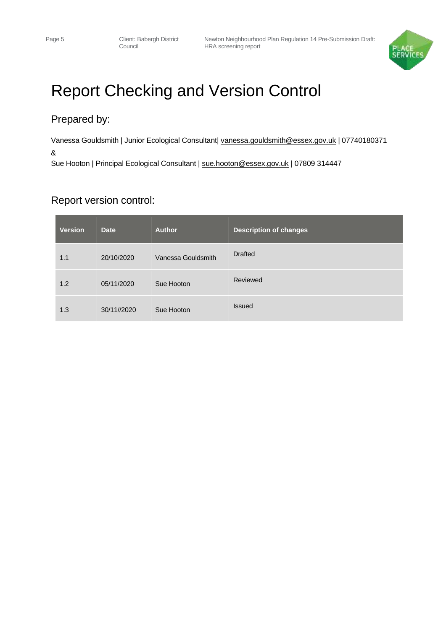

# Report Checking and Version Control

### Prepared by:

Vanessa Gouldsmith | Junior Ecological Consultant| [vanessa.gouldsmith@essex.gov.uk](mailto:vanessa.gouldsmith@essex.gov.uk) | 07740180371 & Sue Hooton | Principal Ecological Consultant | [sue.hooton@essex.gov.uk](mailto:sue.hooton@essex.gov.uk) | 07809 314447

## Report version control:

| <b>Version</b> | <b>Date</b> | <b>Author</b>      | <b>Description of changes</b> |
|----------------|-------------|--------------------|-------------------------------|
| 1.1            | 20/10/2020  | Vanessa Gouldsmith | <b>Drafted</b>                |
| 1.2            | 05/11/2020  | Sue Hooton         | Reviewed                      |
| 1.3            | 30/11//2020 | Sue Hooton         | <b>Issued</b>                 |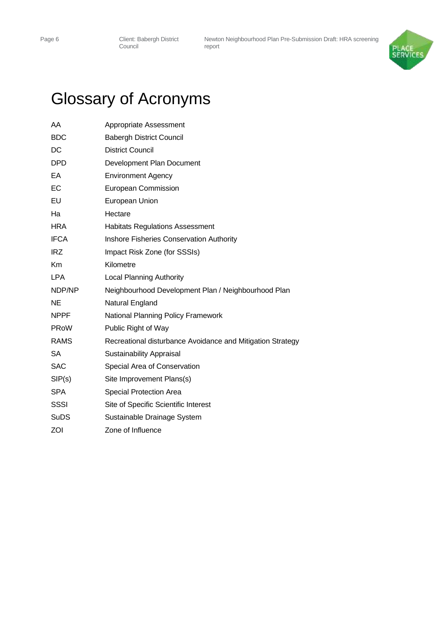

# <span id="page-5-0"></span>Glossary of Acronyms

| AA          | Appropriate Assessment                                     |
|-------------|------------------------------------------------------------|
| <b>BDC</b>  | <b>Babergh District Council</b>                            |
| DC          | <b>District Council</b>                                    |
| <b>DPD</b>  | Development Plan Document                                  |
| EA          | <b>Environment Agency</b>                                  |
| EC          | European Commission                                        |
| EU          | European Union                                             |
| Ha          | Hectare                                                    |
| <b>HRA</b>  | <b>Habitats Regulations Assessment</b>                     |
| <b>IFCA</b> | <b>Inshore Fisheries Conservation Authority</b>            |
| <b>IRZ</b>  | Impact Risk Zone (for SSSIs)                               |
| Km          | Kilometre                                                  |
| LPA.        | <b>Local Planning Authority</b>                            |
| NDP/NP      | Neighbourhood Development Plan / Neighbourhood Plan        |
| <b>NE</b>   | Natural England                                            |
| <b>NPPF</b> | <b>National Planning Policy Framework</b>                  |
| <b>PRoW</b> | Public Right of Way                                        |
| <b>RAMS</b> | Recreational disturbance Avoidance and Mitigation Strategy |
| <b>SA</b>   | <b>Sustainability Appraisal</b>                            |
| <b>SAC</b>  | Special Area of Conservation                               |
| SIP(s)      | Site Improvement Plans(s)                                  |
| <b>SPA</b>  | <b>Special Protection Area</b>                             |
| <b>SSSI</b> | Site of Specific Scientific Interest                       |
| <b>SuDS</b> | Sustainable Drainage System                                |
| ZOI         | Zone of Influence                                          |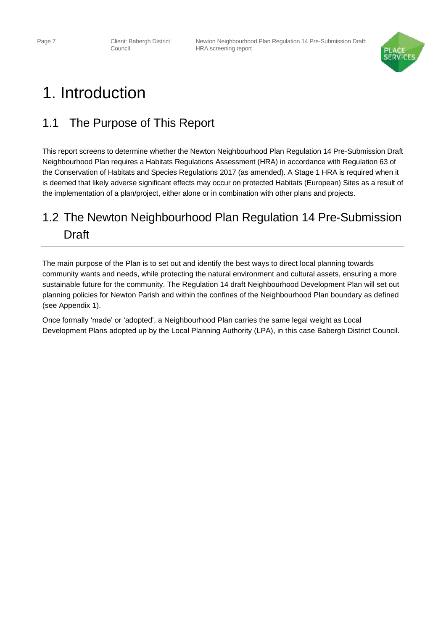

# <span id="page-6-0"></span>1. Introduction

# <span id="page-6-1"></span>1.1 The Purpose of This Report

This report screens to determine whether the Newton Neighbourhood Plan Regulation 14 Pre-Submission Draft Neighbourhood Plan requires a Habitats Regulations Assessment (HRA) in accordance with Regulation 63 of the Conservation of Habitats and Species Regulations 2017 (as amended). A Stage 1 HRA is required when it is deemed that likely adverse significant effects may occur on protected Habitats (European) Sites as a result of the implementation of a plan/project, either alone or in combination with other plans and projects.

# <span id="page-6-2"></span>1.2 The Newton Neighbourhood Plan Regulation 14 Pre-Submission Draft

The main purpose of the Plan is to set out and identify the best ways to direct local planning towards community wants and needs, while protecting the natural environment and cultural assets, ensuring a more sustainable future for the community. The Regulation 14 draft Neighbourhood Development Plan will set out planning policies for Newton Parish and within the confines of the Neighbourhood Plan boundary as defined (see Appendix 1).

Once formally 'made' or 'adopted', a Neighbourhood Plan carries the same legal weight as Local Development Plans adopted up by the Local Planning Authority (LPA), in this case Babergh District Council.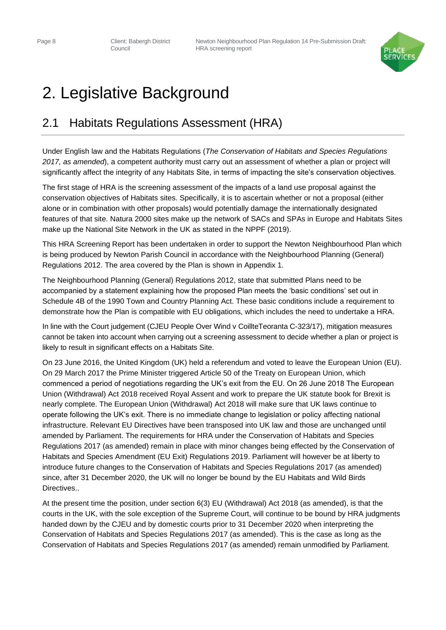

# <span id="page-7-0"></span>2. Legislative Background

## <span id="page-7-1"></span>2.1 Habitats Regulations Assessment (HRA)

Under English law and the Habitats Regulations (*The Conservation of Habitats and Species Regulations 2017, as amended*), a competent authority must carry out an assessment of whether a plan or project will significantly affect the integrity of any Habitats Site, in terms of impacting the site's conservation objectives.

The first stage of HRA is the screening assessment of the impacts of a land use proposal against the conservation objectives of Habitats sites. Specifically, it is to ascertain whether or not a proposal (either alone or in combination with other proposals) would potentially damage the internationally designated features of that site. Natura 2000 sites make up the network of SACs and SPAs in Europe and Habitats Sites make up the National Site Network in the UK as stated in the NPPF (2019).

This HRA Screening Report has been undertaken in order to support the Newton Neighbourhood Plan which is being produced by Newton Parish Council in accordance with the Neighbourhood Planning (General) Regulations 2012. The area covered by the Plan is shown in Appendix 1.

The Neighbourhood Planning (General) Regulations 2012, state that submitted Plans need to be accompanied by a statement explaining how the proposed Plan meets the 'basic conditions' set out in Schedule 4B of the 1990 Town and Country Planning Act. These basic conditions include a requirement to demonstrate how the Plan is compatible with EU obligations, which includes the need to undertake a HRA.

In line with the Court judgement (CJEU People Over Wind v CoillteTeoranta C-323/17), mitigation measures cannot be taken into account when carrying out a screening assessment to decide whether a plan or project is likely to result in significant effects on a Habitats Site.

On 23 June 2016, the United Kingdom (UK) held a referendum and voted to leave the European Union (EU). On 29 March 2017 the Prime Minister triggered Article 50 of the Treaty on European Union, which commenced a period of negotiations regarding the UK's exit from the EU. On 26 June 2018 The European Union (Withdrawal) Act 2018 received Royal Assent and work to prepare the UK statute book for Brexit is nearly complete. The European Union (Withdrawal) Act 2018 will make sure that UK laws continue to operate following the UK's exit. There is no immediate change to legislation or policy affecting national infrastructure. Relevant EU Directives have been transposed into UK law and those are unchanged until amended by Parliament. The requirements for HRA under the Conservation of Habitats and Species Regulations 2017 (as amended) remain in place with minor changes being effected by the Conservation of Habitats and Species Amendment (EU Exit) Regulations 2019. Parliament will however be at liberty to introduce future changes to the Conservation of Habitats and Species Regulations 2017 (as amended) since, after 31 December 2020, the UK will no longer be bound by the EU Habitats and Wild Birds Directives..

At the present time the position, under section 6(3) EU (Withdrawal) Act 2018 (as amended), is that the courts in the UK, with the sole exception of the Supreme Court, will continue to be bound by HRA judgments handed down by the CJEU and by domestic courts prior to 31 December 2020 when interpreting the Conservation of Habitats and Species Regulations 2017 (as amended). This is the case as long as the Conservation of Habitats and Species Regulations 2017 (as amended) remain unmodified by Parliament.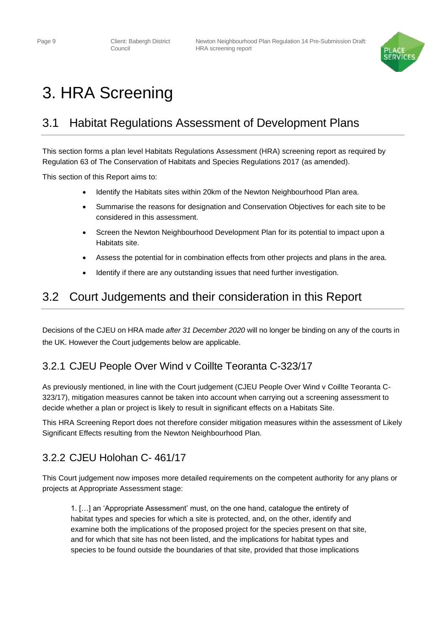

# <span id="page-8-0"></span>3. HRA Screening

## <span id="page-8-1"></span>3.1 Habitat Regulations Assessment of Development Plans

This section forms a plan level Habitats Regulations Assessment (HRA) screening report as required by Regulation 63 of The Conservation of Habitats and Species Regulations 2017 (as amended).

This section of this Report aims to:

- Identify the Habitats sites within 20km of the Newton Neighbourhood Plan area.
- Summarise the reasons for designation and Conservation Objectives for each site to be considered in this assessment.
- Screen the Newton Neighbourhood Development Plan for its potential to impact upon a Habitats site.
- Assess the potential for in combination effects from other projects and plans in the area.
- Identify if there are any outstanding issues that need further investigation.

## <span id="page-8-2"></span>3.2 Court Judgements and their consideration in this Report

<span id="page-8-3"></span>Decisions of the CJEU on HRA made *after 31 December 2020* will no longer be binding on any of the courts in the UK. However the Court judgements below are applicable.

### 3.2.1 CJEU People Over Wind v Coillte Teoranta C-323/17

As previously mentioned, in line with the Court judgement (CJEU People Over Wind v Coillte Teoranta C-323/17), mitigation measures cannot be taken into account when carrying out a screening assessment to decide whether a plan or project is likely to result in significant effects on a Habitats Site.

This HRA Screening Report does not therefore consider mitigation measures within the assessment of Likely Significant Effects resulting from the Newton Neighbourhood Plan.

### <span id="page-8-4"></span>3.2.2 CJEU Holohan C- 461/17

This Court judgement now imposes more detailed requirements on the competent authority for any plans or projects at Appropriate Assessment stage:

1. […] an 'Appropriate Assessment' must, on the one hand, catalogue the entirety of habitat types and species for which a site is protected, and, on the other, identify and examine both the implications of the proposed project for the species present on that site, and for which that site has not been listed, and the implications for habitat types and species to be found outside the boundaries of that site, provided that those implications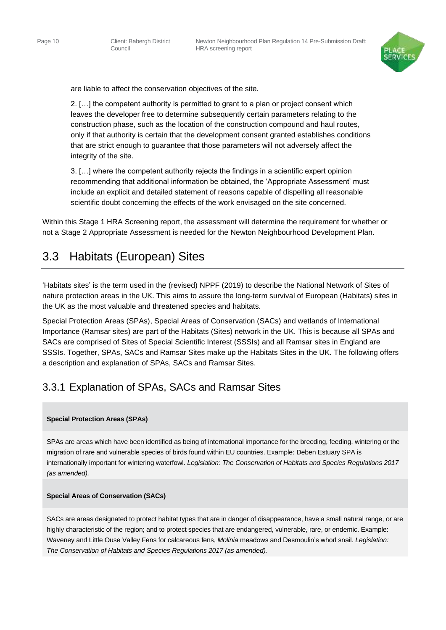

are liable to affect the conservation objectives of the site.

2. […] the competent authority is permitted to grant to a plan or project consent which leaves the developer free to determine subsequently certain parameters relating to the construction phase, such as the location of the construction compound and haul routes, only if that authority is certain that the development consent granted establishes conditions that are strict enough to guarantee that those parameters will not adversely affect the integrity of the site.

3. […] where the competent authority rejects the findings in a scientific expert opinion recommending that additional information be obtained, the 'Appropriate Assessment' must include an explicit and detailed statement of reasons capable of dispelling all reasonable scientific doubt concerning the effects of the work envisaged on the site concerned.

Within this Stage 1 HRA Screening report, the assessment will determine the requirement for whether or not a Stage 2 Appropriate Assessment is needed for the Newton Neighbourhood Development Plan.

## <span id="page-9-0"></span>3.3 Habitats (European) Sites

'Habitats sites' is the term used in the (revised) NPPF (2019) to describe the National Network of Sites of nature protection areas in the UK. This aims to assure the long-term survival of European (Habitats) sites in the UK as the most valuable and threatened species and habitats.

Special Protection Areas (SPAs), Special Areas of Conservation (SACs) and wetlands of International Importance (Ramsar sites) are part of the Habitats (Sites) network in the UK. This is because all SPAs and SACs are comprised of Sites of Special Scientific Interest (SSSIs) and all Ramsar sites in England are SSSIs. Together, SPAs, SACs and Ramsar Sites make up the Habitats Sites in the UK. The following offers a description and explanation of SPAs, SACs and Ramsar Sites.

### <span id="page-9-1"></span>3.3.1 Explanation of SPAs, SACs and Ramsar Sites

#### **Special Protection Areas (SPAs)**

SPAs are areas which have been identified as being of international importance for the breeding, feeding, wintering or the migration of rare and vulnerable species of birds found within EU countries. Example: Deben Estuary SPA is internationally important for wintering waterfowl. *Legislation: The Conservation of Habitats and Species Regulations 2017 (as amended).*

#### **Special Areas of Conservation (SACs)**

SACs are areas designated to protect habitat types that are in danger of disappearance, have a small natural range, or are highly characteristic of the region; and to protect species that are endangered, vulnerable, rare, or endemic. Example: Waveney and Little Ouse Valley Fens for calcareous fens, *Molinia* meadows and Desmoulin's whorl snail. *Legislation: The Conservation of Habitats and Species Regulations 2017 (as amended).*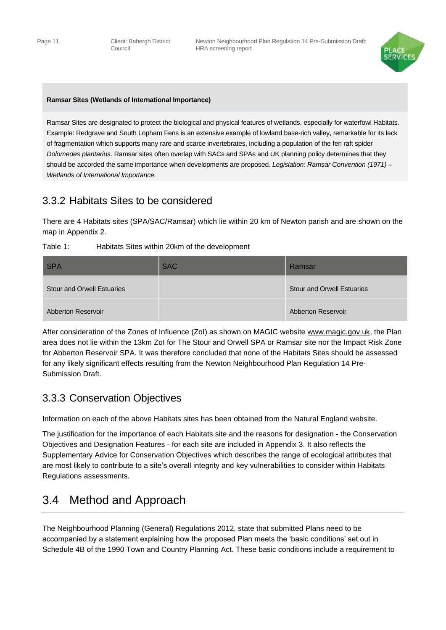

#### **Ramsar Sites (Wetlands of International Importance)**

Ramsar Sites are designated to protect the biological and physical features of wetlands, especially for waterfowl Habitats. Example: Redgrave and South Lopham Fens is an extensive example of lowland base-rich valley, remarkable for its lack of fragmentation which supports many rare and scarce invertebrates, including a population of the fen raft spider *Dolomedes plantarius*. Ramsar sites often overlap with SACs and SPAs and UK planning policy determines that they should be accorded the same importance when developments are proposed. *Legislation: Ramsar Convention (1971) – Wetlands of International Importance.*

### <span id="page-10-0"></span>3.3.2 Habitats Sites to be considered

There are 4 Habitats sites (SPA/SAC/Ramsar) which lie within 20 km of Newton parish and are shown on the map in Appendix 2.

<span id="page-10-3"></span>

| Table 1: | Habitats Sites within 20km of the development |
|----------|-----------------------------------------------|
|----------|-----------------------------------------------|

| <b>SPA</b>                        | <b>SAC</b> | Ramsar                            |
|-----------------------------------|------------|-----------------------------------|
| <b>Stour and Orwell Estuaries</b> |            | <b>Stour and Orwell Estuaries</b> |
| Abberton Reservoir                |            | Abberton Reservoir                |

After consideration of the Zones of Influence (ZoI) as shown on MAGIC website [www.magic.gov.uk,](http://www.magic.gov.uk/) the Plan area does not lie within the 13km ZoI for The Stour and Orwell SPA or Ramsar site nor the Impact Risk Zone for Abberton Reservoir SPA. It was therefore concluded that none of the Habitats Sites should be assessed for any likely significant effects resulting from the Newton Neighbourhood Plan Regulation 14 Pre-Submission Draft.

#### <span id="page-10-1"></span>3.3.3 Conservation Objectives

Information on each of the above Habitats sites has been obtained from the Natural England website.

The justification for the importance of each Habitats site and the reasons for designation - the Conservation Objectives and Designation Features - for each site are included in Appendix 3. It also reflects the Supplementary Advice for Conservation Objectives which describes the range of ecological attributes that are most likely to contribute to a site's overall integrity and key vulnerabilities to consider within Habitats Regulations assessments.

## <span id="page-10-2"></span>3.4 Method and Approach

The Neighbourhood Planning (General) Regulations 2012, state that submitted Plans need to be accompanied by a statement explaining how the proposed Plan meets the 'basic conditions' set out in Schedule 4B of the 1990 Town and Country Planning Act. These basic conditions include a requirement to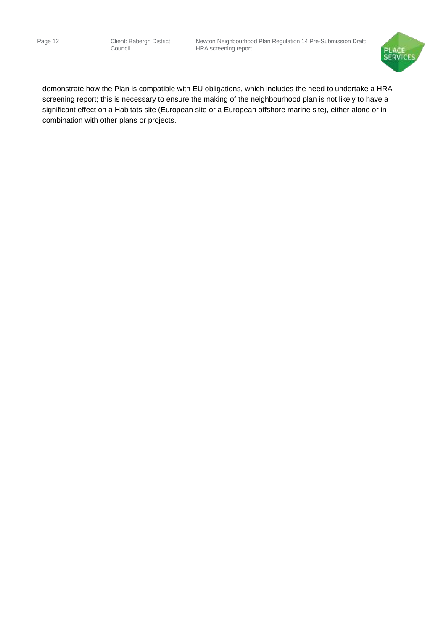

demonstrate how the Plan is compatible with EU obligations, which includes the need to undertake a HRA screening report; this is necessary to ensure the making of the neighbourhood plan is not likely to have a significant effect on a Habitats site (European site or a European offshore marine site), either alone or in combination with other plans or projects.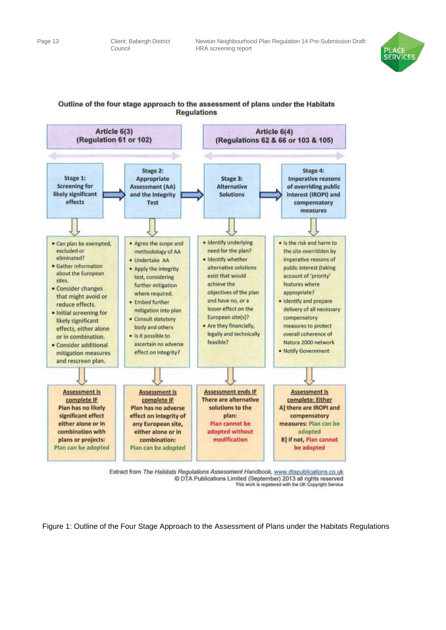

#### Outline of the four stage approach to the assessment of plans under the Habitats **Regulations**



Extract from The Habitats Regulations Assessment Handbook, www.dtapublications.co.uk @ DTA Publications Limited (September) 2013 all rights reserved This work is registered with the UK Copyright Service

<span id="page-12-0"></span>Figure 1: Outline of the Four Stage Approach to the Assessment of Plans under the Habitats Regulations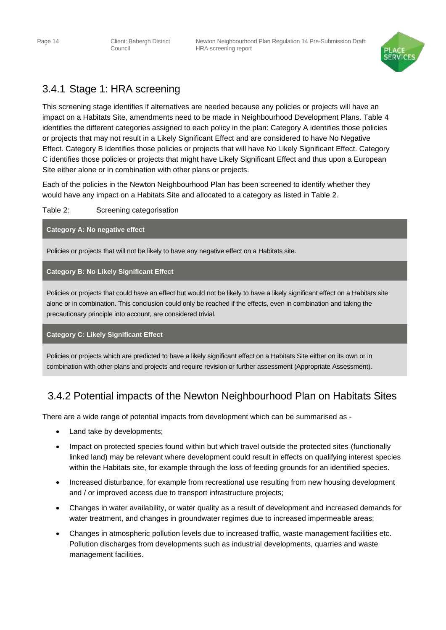

### 3.4.1 Stage 1: HRA screening

This screening stage identifies if alternatives are needed because any policies or projects will have an impact on a Habitats Site, amendments need to be made in Neighbourhood Development Plans. Table 4 identifies the different categories assigned to each policy in the plan: Category A identifies those policies or projects that may not result in a Likely Significant Effect and are considered to have No Negative Effect. Category B identifies those policies or projects that will have No Likely Significant Effect. Category C identifies those policies or projects that might have Likely Significant Effect and thus upon a European Site either alone or in combination with other plans or projects.

Each of the policies in the Newton Neighbourhood Plan has been screened to identify whether they would have any impact on a Habitats Site and allocated to a category as listed in Table 2.

#### <span id="page-13-1"></span>Table 2: Screening categorisation

#### **Category A: No negative effect**

Policies or projects that will not be likely to have any negative effect on a Habitats site.

#### **Category B: No Likely Significant Effect**

Policies or projects that could have an effect but would not be likely to have a likely significant effect on a Habitats site alone or in combination. This conclusion could only be reached if the effects, even in combination and taking the precautionary principle into account, are considered trivial.

#### **Category C: Likely Significant Effect**

Policies or projects which are predicted to have a likely significant effect on a Habitats Site either on its own or in combination with other plans and projects and require revision or further assessment (Appropriate Assessment).

### <span id="page-13-0"></span>3.4.2 Potential impacts of the Newton Neighbourhood Plan on Habitats Sites

There are a wide range of potential impacts from development which can be summarised as -

- Land take by developments;
- Impact on protected species found within but which travel outside the protected sites (functionally linked land) may be relevant where development could result in effects on qualifying interest species within the Habitats site, for example through the loss of feeding grounds for an identified species.
- Increased disturbance, for example from recreational use resulting from new housing development and / or improved access due to transport infrastructure projects;
- Changes in water availability, or water quality as a result of development and increased demands for water treatment, and changes in groundwater regimes due to increased impermeable areas;
- Changes in atmospheric pollution levels due to increased traffic, waste management facilities etc. Pollution discharges from developments such as industrial developments, quarries and waste management facilities.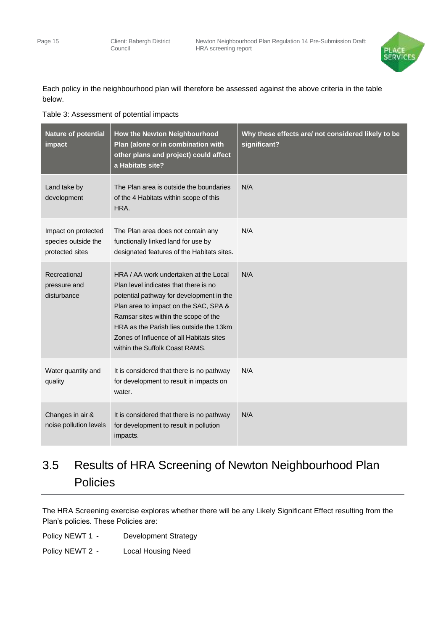

Each policy in the neighbourhood plan will therefore be assessed against the above criteria in the table below.

<span id="page-14-1"></span>

| Table 3: Assessment of potential impacts |
|------------------------------------------|
|------------------------------------------|

| <b>Nature of potential</b><br>impact                          | How the Newton Neighbourhood<br>Plan (alone or in combination with<br>other plans and project) could affect<br>a Habitats site?                                                                                                                                                                                                      | Why these effects are/ not considered likely to be<br>significant? |
|---------------------------------------------------------------|--------------------------------------------------------------------------------------------------------------------------------------------------------------------------------------------------------------------------------------------------------------------------------------------------------------------------------------|--------------------------------------------------------------------|
| Land take by<br>development                                   | The Plan area is outside the boundaries<br>of the 4 Habitats within scope of this<br>HRA.                                                                                                                                                                                                                                            | N/A                                                                |
| Impact on protected<br>species outside the<br>protected sites | The Plan area does not contain any<br>functionally linked land for use by<br>designated features of the Habitats sites.                                                                                                                                                                                                              | N/A                                                                |
| Recreational<br>pressure and<br>disturbance                   | HRA / AA work undertaken at the Local<br>Plan level indicates that there is no<br>potential pathway for development in the<br>Plan area to impact on the SAC, SPA &<br>Ramsar sites within the scope of the<br>HRA as the Parish lies outside the 13km<br>Zones of Influence of all Habitats sites<br>within the Suffolk Coast RAMS. | N/A                                                                |
| Water quantity and<br>quality                                 | It is considered that there is no pathway<br>for development to result in impacts on<br>water.                                                                                                                                                                                                                                       | N/A                                                                |
| Changes in air &<br>noise pollution levels                    | It is considered that there is no pathway<br>for development to result in pollution<br>impacts.                                                                                                                                                                                                                                      | N/A                                                                |

# <span id="page-14-0"></span>3.5 Results of HRA Screening of Newton Neighbourhood Plan Policies

The HRA Screening exercise explores whether there will be any Likely Significant Effect resulting from the Plan's policies. These Policies are:

Policy NEWT 1 - Development Strategy

Policy NEWT 2 - Local Housing Need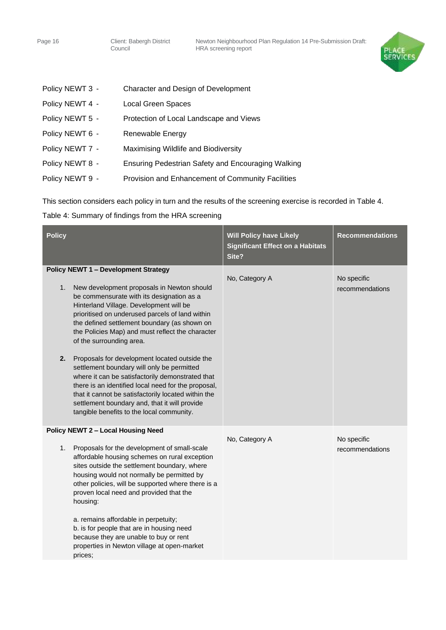

| Policy NEWT 3 - | Character and Design of Development                       |
|-----------------|-----------------------------------------------------------|
| Policy NEWT 4 - | Local Green Spaces                                        |
| Policy NEWT 5 - | Protection of Local Landscape and Views                   |
| Policy NEWT 6 - | Renewable Energy                                          |
| Policy NEWT 7 - | Maximising Wildlife and Biodiversity                      |
| Policy NEWT 8 - | <b>Ensuring Pedestrian Safety and Encouraging Walking</b> |
| Policy NEWT 9 - | Provision and Enhancement of Community Facilities         |

This section considers each policy in turn and the results of the screening exercise is recorded in Table 4.

#### <span id="page-15-0"></span>Table 4: Summary of findings from the HRA screening

| <b>Policy</b> |                                                                                                                                                                                                                                                                                                                                                                                                                                                                                                                                                | <b>Will Policy have Likely</b><br><b>Significant Effect on a Habitats</b><br>Site? | <b>Recommendations</b>         |
|---------------|------------------------------------------------------------------------------------------------------------------------------------------------------------------------------------------------------------------------------------------------------------------------------------------------------------------------------------------------------------------------------------------------------------------------------------------------------------------------------------------------------------------------------------------------|------------------------------------------------------------------------------------|--------------------------------|
| 1.            | <b>Policy NEWT 1 - Development Strategy</b><br>New development proposals in Newton should<br>be commensurate with its designation as a<br>Hinterland Village. Development will be<br>prioritised on underused parcels of land within<br>the defined settlement boundary (as shown on<br>the Policies Map) and must reflect the character<br>of the surrounding area.                                                                                                                                                                           | No, Category A                                                                     | No specific<br>recommendations |
| 2.            | Proposals for development located outside the<br>settlement boundary will only be permitted<br>where it can be satisfactorily demonstrated that<br>there is an identified local need for the proposal,<br>that it cannot be satisfactorily located within the<br>settlement boundary and, that it will provide<br>tangible benefits to the local community.                                                                                                                                                                                    |                                                                                    |                                |
| 1.            | <b>Policy NEWT 2 - Local Housing Need</b><br>Proposals for the development of small-scale<br>affordable housing schemes on rural exception<br>sites outside the settlement boundary, where<br>housing would not normally be permitted by<br>other policies, will be supported where there is a<br>proven local need and provided that the<br>housing:<br>a. remains affordable in perpetuity;<br>b. is for people that are in housing need<br>because they are unable to buy or rent<br>properties in Newton village at open-market<br>prices; | No, Category A                                                                     | No specific<br>recommendations |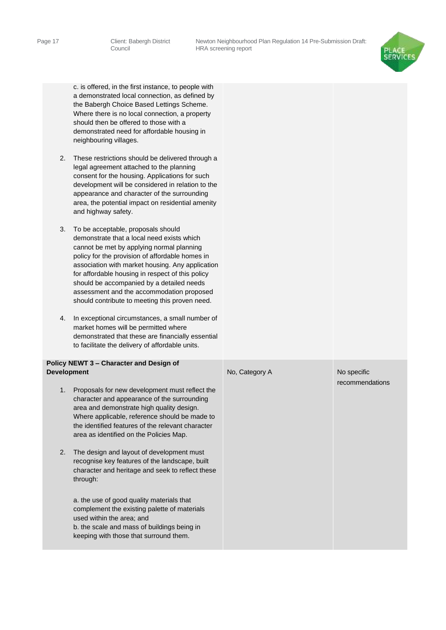

c. is offered, in the first instance, to people with a demonstrated local connection, as defined by the Babergh Choice Based Lettings Scheme. Where there is no local connection, a property should then be offered to those with a demonstrated need for affordable housing in neighbouring villages.

- 2. These restrictions should be delivered through a legal agreement attached to the planning consent for the housing. Applications for such development will be considered in relation to the appearance and character of the surrounding area, the potential impact on residential amenity and highway safety.
- 3. To be acceptable, proposals should demonstrate that a local need exists which cannot be met by applying normal planning policy for the provision of affordable homes in association with market housing. Any application for affordable housing in respect of this policy should be accompanied by a detailed needs assessment and the accommodation proposed should contribute to meeting this proven need.
- 4. In exceptional circumstances, a small number of market homes will be permitted where demonstrated that these are financially essential to facilitate the delivery of affordable units.

#### **Policy NEWT 3 – Character and Design of Development**

- 1. Proposals for new development must reflect character and appearance of the surround area and demonstrate high quality des Where applicable, reference should be the identified features of the relevant cl area as identified on the Policies Map.
- 2. The design and layout of development recognise key features of the landscap character and heritage and seek to refl through:

a. the use of good quality materials tha complement the existing palette of mat used within the area; and b. the scale and mass of buildings being keeping with those that surround them.

| eflect the<br>unding<br>ign.<br>made to<br>haracter | No, Category A | No specific<br>recommendations |
|-----------------------------------------------------|----------------|--------------------------------|
| must<br>e, built<br>lect these                      |                |                                |
| ıt<br>terials                                       |                |                                |
| າg in<br>ä,                                         |                |                                |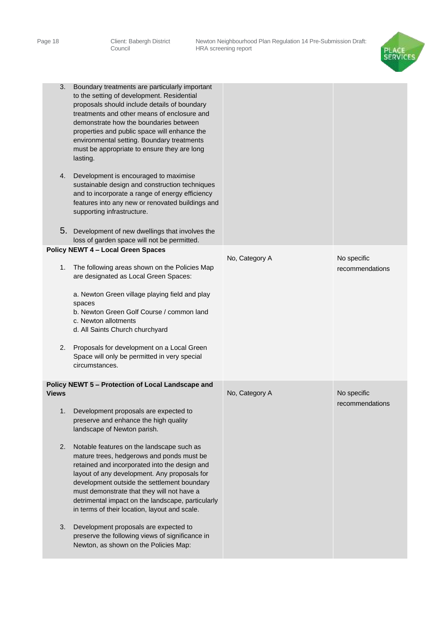

| 3.           | Boundary treatments are particularly important<br>to the setting of development. Residential<br>proposals should include details of boundary<br>treatments and other means of enclosure and<br>demonstrate how the boundaries between<br>properties and public space will enhance the<br>environmental setting. Boundary treatments<br>must be appropriate to ensure they are long<br>lasting. |                |                                |
|--------------|------------------------------------------------------------------------------------------------------------------------------------------------------------------------------------------------------------------------------------------------------------------------------------------------------------------------------------------------------------------------------------------------|----------------|--------------------------------|
| 4.           | Development is encouraged to maximise<br>sustainable design and construction techniques<br>and to incorporate a range of energy efficiency<br>features into any new or renovated buildings and<br>supporting infrastructure.                                                                                                                                                                   |                |                                |
|              | 5. Development of new dwellings that involves the<br>loss of garden space will not be permitted.                                                                                                                                                                                                                                                                                               |                |                                |
|              | <b>Policy NEWT 4 - Local Green Spaces</b>                                                                                                                                                                                                                                                                                                                                                      |                |                                |
| 1.           | The following areas shown on the Policies Map<br>are designated as Local Green Spaces:<br>a. Newton Green village playing field and play<br>spaces<br>b. Newton Green Golf Course / common land                                                                                                                                                                                                | No, Category A | No specific<br>recommendations |
| 2.           | c. Newton allotments<br>d. All Saints Church churchyard<br>Proposals for development on a Local Green<br>Space will only be permitted in very special<br>circumstances.                                                                                                                                                                                                                        |                |                                |
| <b>Views</b> | Policy NEWT 5 - Protection of Local Landscape and                                                                                                                                                                                                                                                                                                                                              | No, Category A | No specific                    |
|              | 1. Development proposals are expected to<br>preserve and enhance the high quality<br>landscape of Newton parish.                                                                                                                                                                                                                                                                               |                | recommendations                |
| 2.           | Notable features on the landscape such as<br>mature trees, hedgerows and ponds must be<br>retained and incorporated into the design and<br>layout of any development. Any proposals for<br>development outside the settlement boundary<br>must demonstrate that they will not have a<br>detrimental impact on the landscape, particularly<br>in terms of their location, layout and scale.     |                |                                |
| 3.           | Development proposals are expected to<br>preserve the following views of significance in<br>Newton, as shown on the Policies Map:                                                                                                                                                                                                                                                              |                |                                |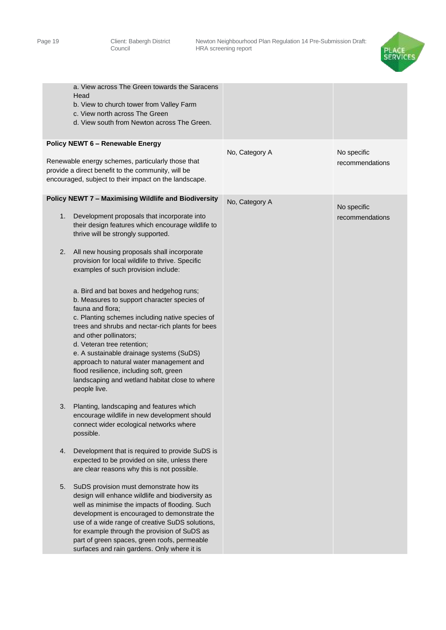

|                | a. View across The Green towards the Saracens<br>Head<br>b. View to church tower from Valley Farm<br>c. View north across The Green<br>d. View south from Newton across The Green.                                                                                                                                                                                                                                                                                              |                |                                |
|----------------|---------------------------------------------------------------------------------------------------------------------------------------------------------------------------------------------------------------------------------------------------------------------------------------------------------------------------------------------------------------------------------------------------------------------------------------------------------------------------------|----------------|--------------------------------|
|                | <b>Policy NEWT 6 - Renewable Energy</b>                                                                                                                                                                                                                                                                                                                                                                                                                                         |                |                                |
|                | Renewable energy schemes, particularly those that<br>provide a direct benefit to the community, will be<br>encouraged, subject to their impact on the landscape.                                                                                                                                                                                                                                                                                                                | No, Category A | No specific<br>recommendations |
|                | Policy NEWT 7 - Maximising Wildlife and Biodiversity                                                                                                                                                                                                                                                                                                                                                                                                                            | No, Category A | No specific                    |
| 1 <sub>1</sub> | Development proposals that incorporate into<br>their design features which encourage wildlife to<br>thrive will be strongly supported.                                                                                                                                                                                                                                                                                                                                          |                | recommendations                |
| 2.             | All new housing proposals shall incorporate<br>provision for local wildlife to thrive. Specific<br>examples of such provision include:                                                                                                                                                                                                                                                                                                                                          |                |                                |
|                | a. Bird and bat boxes and hedgehog runs;<br>b. Measures to support character species of<br>fauna and flora;<br>c. Planting schemes including native species of<br>trees and shrubs and nectar-rich plants for bees<br>and other pollinators;<br>d. Veteran tree retention;<br>e. A sustainable drainage systems (SuDS)<br>approach to natural water management and<br>flood resilience, including soft, green<br>landscaping and wetland habitat close to where<br>people live. |                |                                |
| 3.             | Planting, landscaping and features which<br>encourage wildlife in new development should<br>connect wider ecological networks where<br>possible.                                                                                                                                                                                                                                                                                                                                |                |                                |
| 4.             | Development that is required to provide SuDS is<br>expected to be provided on site, unless there<br>are clear reasons why this is not possible.                                                                                                                                                                                                                                                                                                                                 |                |                                |
| 5.             | SuDS provision must demonstrate how its<br>design will enhance wildlife and biodiversity as<br>well as minimise the impacts of flooding. Such<br>development is encouraged to demonstrate the<br>use of a wide range of creative SuDS solutions,<br>for example through the provision of SuDS as<br>part of green spaces, green roofs, permeable<br>surfaces and rain gardens. Only where it is                                                                                 |                |                                |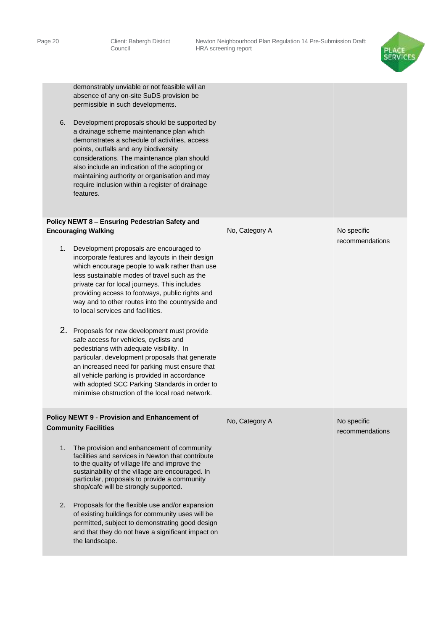No, Category A No specific



demonstrably unviable or not feasible will an absence of any on-site SuDS provision be permissible in such developments.

6. Development proposals should be supported by a drainage scheme maintenance plan which demonstrates a schedule of activities, access points, outfalls and any biodiversity considerations. The maintenance plan should also include an indication of the adopting or maintaining authority or organisation and may require inclusion within a register of drainage features.

#### **Policy NEWT 8 – Ensuring Pedestrian Safety and Encouraging Walking**

- 1. Development proposals are encouraged to incorporate features and layouts in their design which encourage people to walk rather than use less sustainable modes of travel such as the private car for local journeys. This includes providing access to footways, public rights and way and to other routes into the countryside and to local services and facilities.
- 2. Proposals for new development must provide safe access for vehicles, cyclists and pedestrians with adequate visibility. In particular, development proposals that generate an increased need for parking must ensure that all vehicle parking is provided in accordance with adopted SCC Parking Standards in order to minimise obstruction of the local road network.

#### **Policy NEWT 9** ‐ **Provision and Enhancement of Community Facilities**

- 1. The provision and enhancement of community facilities and services in Newton that contribute to the quality of village life and improve the sustainability of the village are encouraged. In particular, proposals to provide a community shop/café will be strongly supported.
- 2. Proposals for the flexible use and/or expansion of existing buildings for community uses will be permitted, subject to demonstrating good design and that they do not have a significant impact on the landscape.



recommendations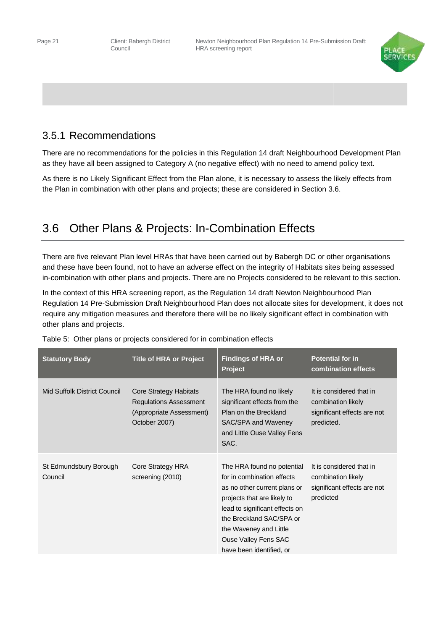

### 3.5.1 Recommendations

There are no recommendations for the policies in this Regulation 14 draft Neighbourhood Development Plan as they have all been assigned to Category A (no negative effect) with no need to amend policy text.

As there is no Likely Significant Effect from the Plan alone, it is necessary to assess the likely effects from the Plan in combination with other plans and projects; these are considered in Section 3.6.

## <span id="page-20-0"></span>3.6 Other Plans & Projects: In-Combination Effects

There are five relevant Plan level HRAs that have been carried out by Babergh DC or other organisations and these have been found, not to have an adverse effect on the integrity of Habitats sites being assessed in-combination with other plans and projects. There are no Projects considered to be relevant to this section.

<span id="page-20-1"></span>In the context of this HRA screening report, as the Regulation 14 draft Newton Neighbourhood Plan Regulation 14 Pre-Submission Draft Neighbourhood Plan does not allocate sites for development, it does not require any mitigation measures and therefore there will be no likely significant effect in combination with other plans and projects.

| <b>Statutory Body</b>             | <b>Title of HRA or Project</b>                                                                              | <b>Findings of HRA or</b><br><b>Project</b>                                                                                                                                                                                                                         | <b>Potential for in</b><br>combination effects                                              |
|-----------------------------------|-------------------------------------------------------------------------------------------------------------|---------------------------------------------------------------------------------------------------------------------------------------------------------------------------------------------------------------------------------------------------------------------|---------------------------------------------------------------------------------------------|
| Mid Suffolk District Council      | <b>Core Strategy Habitats</b><br><b>Regulations Assessment</b><br>(Appropriate Assessment)<br>October 2007) | The HRA found no likely<br>significant effects from the<br>Plan on the Breckland<br>SAC/SPA and Waveney<br>and Little Ouse Valley Fens<br>SAC.                                                                                                                      | It is considered that in<br>combination likely<br>significant effects are not<br>predicted. |
| St Edmundsbury Borough<br>Council | Core Strategy HRA<br>screening (2010)                                                                       | The HRA found no potential<br>for in combination effects<br>as no other current plans or<br>projects that are likely to<br>lead to significant effects on<br>the Breckland SAC/SPA or<br>the Waveney and Little<br>Ouse Valley Fens SAC<br>have been identified, or | It is considered that in<br>combination likely<br>significant effects are not<br>predicted  |

Table 5: Other plans or projects considered for in combination effects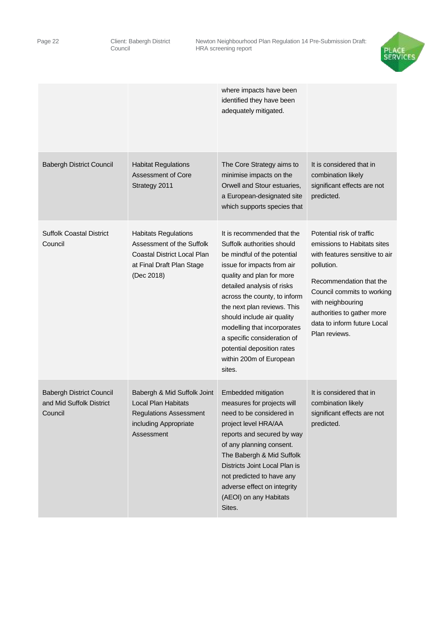

|                                                                        |                                                                                                                                           | where impacts have been<br>identified they have been<br>adequately mitigated.                                                                                                                                                                                                                                                                                                                                  |                                                                                                                                                                                                                                                                      |
|------------------------------------------------------------------------|-------------------------------------------------------------------------------------------------------------------------------------------|----------------------------------------------------------------------------------------------------------------------------------------------------------------------------------------------------------------------------------------------------------------------------------------------------------------------------------------------------------------------------------------------------------------|----------------------------------------------------------------------------------------------------------------------------------------------------------------------------------------------------------------------------------------------------------------------|
| <b>Babergh District Council</b>                                        | <b>Habitat Regulations</b><br>Assessment of Core<br>Strategy 2011                                                                         | The Core Strategy aims to<br>minimise impacts on the<br>Orwell and Stour estuaries,<br>a European-designated site<br>which supports species that                                                                                                                                                                                                                                                               | It is considered that in<br>combination likely<br>significant effects are not<br>predicted.                                                                                                                                                                          |
| <b>Suffolk Coastal District</b><br>Council                             | <b>Habitats Regulations</b><br>Assessment of the Suffolk<br><b>Coastal District Local Plan</b><br>at Final Draft Plan Stage<br>(Dec 2018) | It is recommended that the<br>Suffolk authorities should<br>be mindful of the potential<br>issue for impacts from air<br>quality and plan for more<br>detailed analysis of risks<br>across the county, to inform<br>the next plan reviews. This<br>should include air quality<br>modelling that incorporates<br>a specific consideration of<br>potential deposition rates<br>within 200m of European<br>sites. | Potential risk of traffic<br>emissions to Habitats sites<br>with features sensitive to air<br>pollution.<br>Recommendation that the<br>Council commits to working<br>with neighbouring<br>authorities to gather more<br>data to inform future Local<br>Plan reviews. |
| <b>Babergh District Council</b><br>and Mid Suffolk District<br>Council | Babergh & Mid Suffolk Joint<br><b>Local Plan Habitats</b><br><b>Regulations Assessment</b><br>including Appropriate<br>Assessment         | Embedded mitigation<br>measures for projects will<br>need to be considered in<br>project level HRA/AA<br>reports and secured by way<br>of any planning consent.<br>The Babergh & Mid Suffolk<br>Districts Joint Local Plan is<br>not predicted to have any<br>adverse effect on integrity<br>(AEOI) on any Habitats<br>Sites.                                                                                  | It is considered that in<br>combination likely<br>significant effects are not<br>predicted.                                                                                                                                                                          |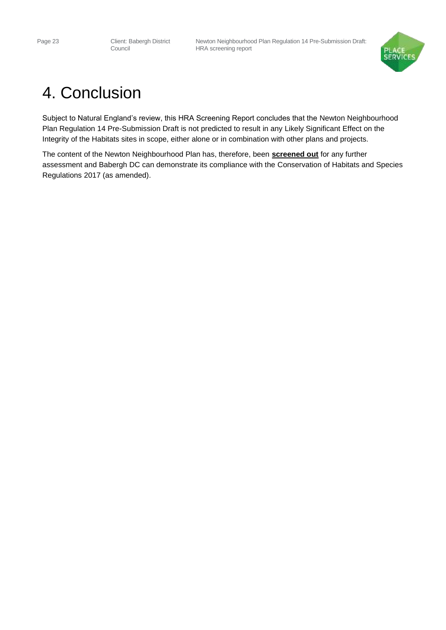

# <span id="page-22-0"></span>4. Conclusion

Subject to Natural England's review, this HRA Screening Report concludes that the Newton Neighbourhood Plan Regulation 14 Pre-Submission Draft is not predicted to result in any Likely Significant Effect on the Integrity of the Habitats sites in scope, either alone or in combination with other plans and projects.

The content of the Newton Neighbourhood Plan has, therefore, been **screened out** for any further assessment and Babergh DC can demonstrate its compliance with the Conservation of Habitats and Species Regulations 2017 (as amended).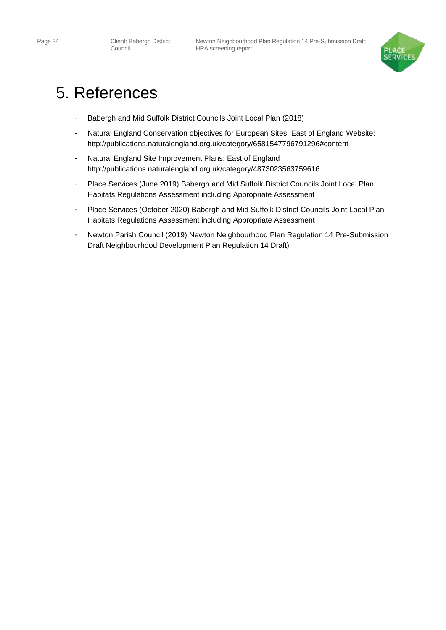

# <span id="page-23-0"></span>5. References

- Babergh and Mid Suffolk District Councils Joint Local Plan (2018)
- Natural England Conservation objectives for European Sites: East of England Website: <http://publications.naturalengland.org.uk/category/6581547796791296#content>
- Natural England Site Improvement Plans: East of England <http://publications.naturalengland.org.uk/category/4873023563759616>
- Place Services (June 2019) Babergh and Mid Suffolk District Councils Joint Local Plan Habitats Regulations Assessment including Appropriate Assessment
- Place Services (October 2020) Babergh and Mid Suffolk District Councils Joint Local Plan Habitats Regulations Assessment including Appropriate Assessment
- Newton Parish Council (2019) Newton Neighbourhood Plan Regulation 14 Pre-Submission Draft Neighbourhood Development Plan Regulation 14 Draft)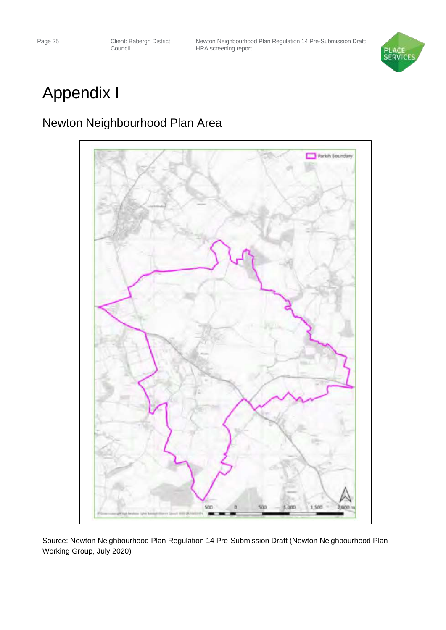

# <span id="page-24-0"></span>Appendix I

# <span id="page-24-1"></span>Newton Neighbourhood Plan Area



Source: Newton Neighbourhood Plan Regulation 14 Pre-Submission Draft (Newton Neighbourhood Plan Working Group, July 2020)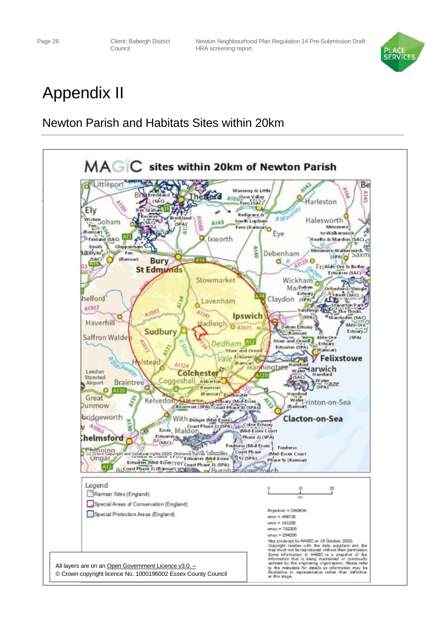

# <span id="page-25-0"></span>Appendix II

## <span id="page-25-1"></span>Newton Parish and Habitats Sites within 20km

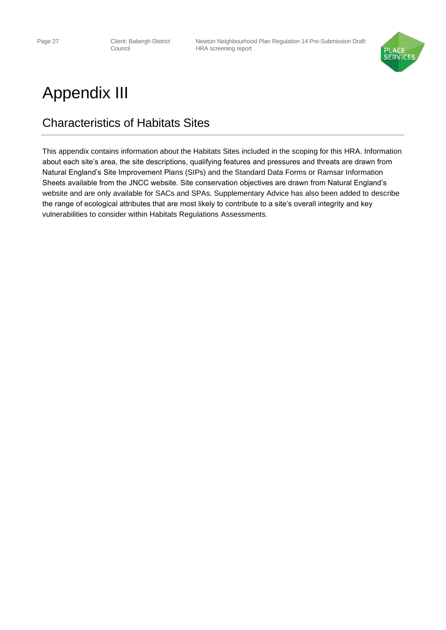

# <span id="page-26-0"></span>Appendix III

## <span id="page-26-1"></span>Characteristics of Habitats Sites

This appendix contains information about the Habitats Sites included in the scoping for this HRA. Information about each site's area, the site descriptions, qualifying features and pressures and threats are drawn from Natural England's Site Improvement Plans (SIPs) and the Standard Data Forms or Ramsar Information Sheets available from the JNCC website. Site conservation objectives are drawn from Natural England's website and are only available for SACs and SPAs. Supplementary Advice has also been added to describe the range of ecological attributes that are most likely to contribute to a site's overall integrity and key vulnerabilities to consider within Habitats Regulations Assessments.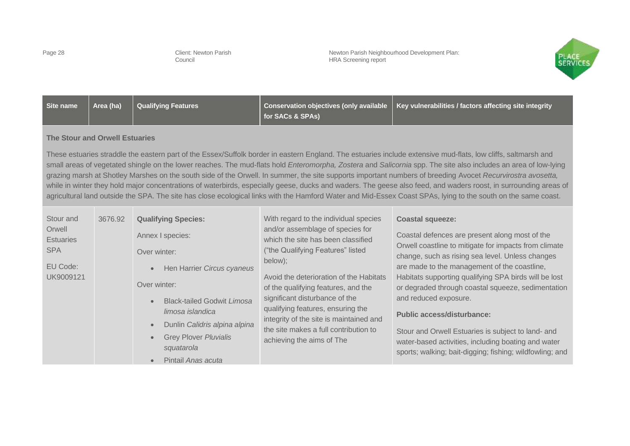Page 28 Client: Newton Parish Council

Newton Parish Neighbourhood Development Plan: HRA Screening report



| Site name | $\vert$ Area (ha) | Qualifying Features |                    | $\mid\mid$ Conservation objectives (only available $\mid\mid$ Key vulnerabilities / factors affecting site integrity $\mid$ |
|-----------|-------------------|---------------------|--------------------|-----------------------------------------------------------------------------------------------------------------------------|
|           |                   |                     | for SACs & SPAs) \ |                                                                                                                             |

#### **The Stour and Orwell Estuaries**

These estuaries straddle the eastern part of the Essex/Suffolk border in eastern England. The estuaries include extensive mud-flats, low cliffs, saltmarsh and small areas of vegetated shingle on the lower reaches. The mud-flats hold *Enteromorpha, Zostera* and *Salicornia* spp. The site also includes an area of low-lying grazing marsh at Shotley Marshes on the south side of the Orwell. In summer, the site supports important numbers of breeding Avocet *Recurvirostra avosetta,* while in winter they hold major concentrations of waterbirds, especially geese, ducks and waders. The geese also feed, and waders roost, in surrounding areas of agricultural land outside the SPA. The site has close ecological links with the Hamford Water and Mid-Essex Coast SPAs, lying to the south on the same coast.

| Stour and<br>Orwell<br><b>Estuaries</b><br><b>SPA</b><br>EU Code:<br>UK9009121 | 3676.92 | <b>Qualifying Species:</b><br>Annex I species:<br>Over winter:<br>Hen Harrier Circus cyaneus<br>$\bullet$<br>Over winter:<br><b>Black-tailed Godwit Limosa</b><br>$\bullet$<br>limosa islandica<br>Dunlin Calidris alpina alpina<br>$\bullet$<br><b>Grey Plover Pluvialis</b><br>$\bullet$<br>squatarola<br>Pintail Anas acuta<br>$\bullet$ | With regard to the individual species<br>and/or assemblage of species for<br>which the site has been classified<br>("the Qualifying Features" listed<br>below);<br>Avoid the deterioration of the Habitats<br>of the qualifying features, and the<br>significant disturbance of the<br>qualifying features, ensuring the<br>integrity of the site is maintained and<br>the site makes a full contribution to<br>achieving the aims of The | <b>Coastal squeeze:</b><br>Coastal defences are present along most of the<br>Orwell coastline to mitigate for impacts from climate<br>change, such as rising sea level. Unless changes<br>are made to the management of the coastline,<br>Habitats supporting qualifying SPA birds will be lost<br>or degraded through coastal squeeze, sedimentation<br>and reduced exposure.<br><b>Public access/disturbance:</b><br>Stour and Orwell Estuaries is subject to land- and<br>water-based activities, including boating and water<br>sports; walking; bait-digging; fishing; wildfowling; and |
|--------------------------------------------------------------------------------|---------|---------------------------------------------------------------------------------------------------------------------------------------------------------------------------------------------------------------------------------------------------------------------------------------------------------------------------------------------|-------------------------------------------------------------------------------------------------------------------------------------------------------------------------------------------------------------------------------------------------------------------------------------------------------------------------------------------------------------------------------------------------------------------------------------------|----------------------------------------------------------------------------------------------------------------------------------------------------------------------------------------------------------------------------------------------------------------------------------------------------------------------------------------------------------------------------------------------------------------------------------------------------------------------------------------------------------------------------------------------------------------------------------------------|
|--------------------------------------------------------------------------------|---------|---------------------------------------------------------------------------------------------------------------------------------------------------------------------------------------------------------------------------------------------------------------------------------------------------------------------------------------------|-------------------------------------------------------------------------------------------------------------------------------------------------------------------------------------------------------------------------------------------------------------------------------------------------------------------------------------------------------------------------------------------------------------------------------------------|----------------------------------------------------------------------------------------------------------------------------------------------------------------------------------------------------------------------------------------------------------------------------------------------------------------------------------------------------------------------------------------------------------------------------------------------------------------------------------------------------------------------------------------------------------------------------------------------|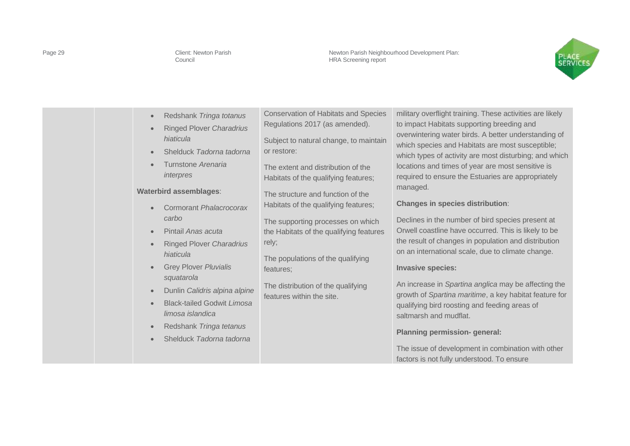

| Redshank Tringa totanus<br><b>Ringed Plover Charadrius</b><br>hiaticula<br>Shelduck Tadorna tadorna<br>Turnstone Arenaria<br>interpres<br><b>Waterbird assemblages:</b><br>Cormorant Phalacrocorax<br>carbo<br>Pintail Anas acuta<br><b>Ringed Plover Charadrius</b><br>hiaticula<br><b>Grey Plover Pluvialis</b><br>squatarola<br>Dunlin Calidris alpina alpine<br><b>Black-tailed Godwit Limosa</b><br>limosa islandica<br>Redshank Tringa tetanus<br>Shelduck Tadorna tadorna | <b>Conservation of Habitats and Species</b><br>Regulations 2017 (as amended).<br>Subject to natural change, to maintain<br>or restore:<br>The extent and distribution of the<br>Habitats of the qualifying features;<br>The structure and function of the<br>Habitats of the qualifying features;<br>The supporting processes on which<br>the Habitats of the qualifying features<br>rely;<br>The populations of the qualifying<br>features;<br>The distribution of the qualifying<br>features within the site. | military overflight training. These activities are likely<br>to impact Habitats supporting breeding and<br>overwintering water birds. A better understanding of<br>which species and Habitats are most susceptible;<br>which types of activity are most disturbing; and which<br>locations and times of year are most sensitive is<br>required to ensure the Estuaries are appropriately<br>managed.<br><b>Changes in species distribution:</b><br>Declines in the number of bird species present at<br>Orwell coastline have occurred. This is likely to be<br>the result of changes in population and distribution<br>on an international scale, due to climate change.<br><b>Invasive species:</b><br>An increase in Spartina anglica may be affecting the<br>growth of Spartina maritime, a key habitat feature for<br>qualifying bird roosting and feeding areas of<br>saltmarsh and mudflat. |
|----------------------------------------------------------------------------------------------------------------------------------------------------------------------------------------------------------------------------------------------------------------------------------------------------------------------------------------------------------------------------------------------------------------------------------------------------------------------------------|-----------------------------------------------------------------------------------------------------------------------------------------------------------------------------------------------------------------------------------------------------------------------------------------------------------------------------------------------------------------------------------------------------------------------------------------------------------------------------------------------------------------|----------------------------------------------------------------------------------------------------------------------------------------------------------------------------------------------------------------------------------------------------------------------------------------------------------------------------------------------------------------------------------------------------------------------------------------------------------------------------------------------------------------------------------------------------------------------------------------------------------------------------------------------------------------------------------------------------------------------------------------------------------------------------------------------------------------------------------------------------------------------------------------------------|
|----------------------------------------------------------------------------------------------------------------------------------------------------------------------------------------------------------------------------------------------------------------------------------------------------------------------------------------------------------------------------------------------------------------------------------------------------------------------------------|-----------------------------------------------------------------------------------------------------------------------------------------------------------------------------------------------------------------------------------------------------------------------------------------------------------------------------------------------------------------------------------------------------------------------------------------------------------------------------------------------------------------|----------------------------------------------------------------------------------------------------------------------------------------------------------------------------------------------------------------------------------------------------------------------------------------------------------------------------------------------------------------------------------------------------------------------------------------------------------------------------------------------------------------------------------------------------------------------------------------------------------------------------------------------------------------------------------------------------------------------------------------------------------------------------------------------------------------------------------------------------------------------------------------------------|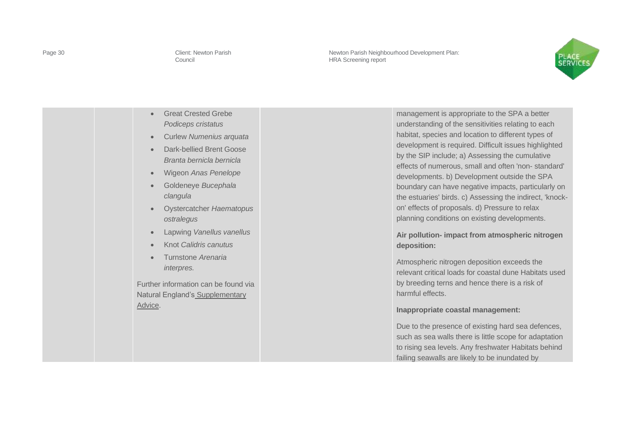Newton Parish Neighbourhood Development Plan: HRA Screening report



|         | <b>Great Crested Grebe</b><br>Podiceps cristatus                        |
|---------|-------------------------------------------------------------------------|
|         | Curlew Numenius arquata                                                 |
|         | Dark-bellied Brent Goose                                                |
|         | Branta bernicla bernicla                                                |
|         | Wigeon Anas Penelope                                                    |
|         | Goldeneye Bucephala<br>clangula                                         |
|         | Oystercatcher Haematopus<br>ostralegus                                  |
|         | Lapwing Vanellus vanellus                                               |
|         | Knot Calidris canutus                                                   |
|         | Turnstone Arenaria                                                      |
|         | <i>interpres.</i>                                                       |
| Advice. | Further information can be found via<br>Natural England's Supplementary |
|         |                                                                         |

management is appropriate to the SPA a better understanding of the sensitivities relating to each habitat, species and location to different types of development is required. Difficult issues highlighted by the SIP include; a) Assessing the cumulative effects of numerous, small and often 'non- standard' developments. b) Development outside the SPA boundary can have negative impacts, particularly on the estuaries' birds. c) Assessing the indirect, 'knockon' effects of proposals. d) Pressure to relax planning conditions on existing developments.

**Air pollution- impact from atmospheric nitrogen deposition:** 

Atmospheric nitrogen deposition exceeds the relevant critical loads for coastal dune Habitats used by breeding terns and hence there is a risk of harmful effects.

**Inappropriate coastal management:** 

Due to the presence of existing hard sea defences, such as sea walls there is little scope for adaptation to rising sea levels. Any freshwater Habitats behind failing seawalls are likely to be inundated by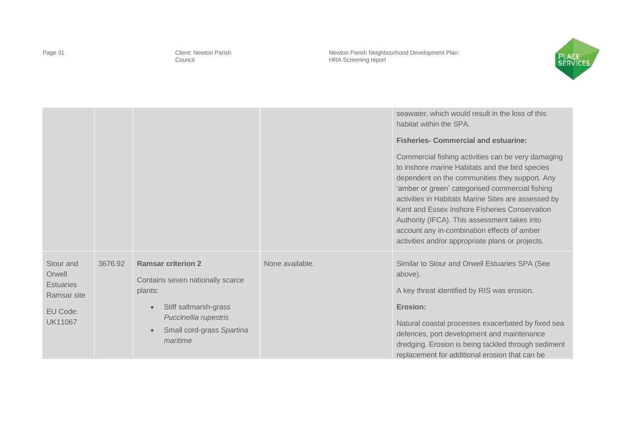Page 31 Client: Newton Parish Council



|                                                                                      |         |                                                                                                                                                                                               |                 | seawater, which would result in the loss of this<br>habitat within the SPA.<br><b>Fisheries- Commercial and estuarine:</b><br>Commercial fishing activities can be very damaging<br>to inshore marine Habitats and the bird species<br>dependent on the communities they support. Any<br>'amber or green' categorised commercial fishing<br>activities in Habitats Marine Sites are assessed by<br>Kent and Essex Inshore Fisheries Conservation<br>Authority (IFCA). This assessment takes into<br>account any in-combination effects of amber<br>activities and/or appropriate plans or projects. |
|--------------------------------------------------------------------------------------|---------|-----------------------------------------------------------------------------------------------------------------------------------------------------------------------------------------------|-----------------|-----------------------------------------------------------------------------------------------------------------------------------------------------------------------------------------------------------------------------------------------------------------------------------------------------------------------------------------------------------------------------------------------------------------------------------------------------------------------------------------------------------------------------------------------------------------------------------------------------|
| Stour and<br>Orwell<br><b>Estuaries</b><br>Ramsar site<br>EU Code:<br><b>UK11067</b> | 3676.92 | <b>Ramsar criterion 2</b><br>Contains seven nationally scarce<br>plants:<br>Stiff saltmarsh-grass<br>$\bullet$<br>Puccinellia rupestris<br>Small cord-grass Spartina<br>$\bullet$<br>maritime | None available. | Similar to Stour and Orwell Estuaries SPA (See<br>above).<br>A key threat identified by RIS was erosion.<br>Erosion:<br>Natural coastal processes exacerbated by fixed sea<br>defences, port development and maintenance<br>dredging. Erosion is being tackled through sediment<br>replacement for additional erosion that can be                                                                                                                                                                                                                                                                   |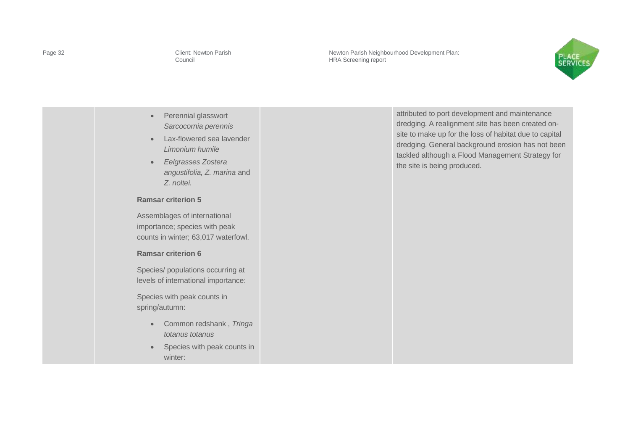Page 32 Client: Newton Parish Council

Newton Parish Neighbourhood Development Plan: HRA Screening report



| Perennial glasswort<br>Sarcocornia perennis                                                          |
|------------------------------------------------------------------------------------------------------|
| Lax-flowered sea lavender<br>Limonium humile                                                         |
| Eelgrasses Zostera<br>angustifolia, Z. marina and<br>Z. noltei.                                      |
| <b>Ramsar criterion 5</b>                                                                            |
| Assemblages of international<br>importance; species with peak<br>counts in winter; 63,017 waterfowl. |
| <b>Ramsar criterion 6</b>                                                                            |
| Species/ populations occurring at<br>levels of international importance:                             |
| Species with peak counts in<br>spring/autumn:                                                        |
| Common redshank, Tringa<br>totanus totanus                                                           |
| Species with peak counts in<br>$\bullet$<br>winter:                                                  |

attributed to port development and maintenance dredging. A realignment site has been created onsite to make up for the loss of habitat due to capital dredging. General background erosion has not been tackled although a Flood Management Strategy for the site is being produced.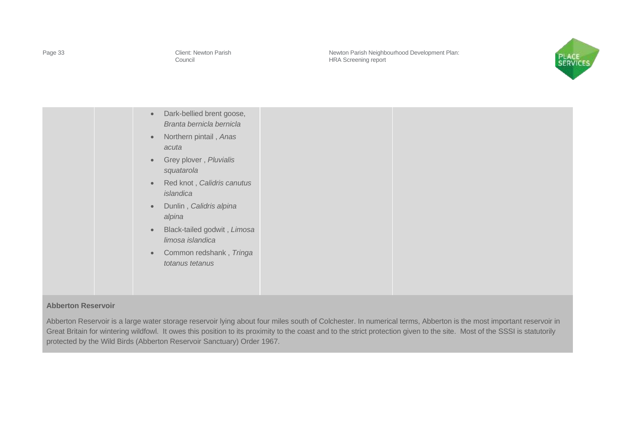Newton Parish Neighbourhood Development Plan: HRA Screening report



| Dark-bellied brent goose,<br>$\bullet$<br>Branta bernicla bernicla |
|--------------------------------------------------------------------|
| Northern pintail, Anas<br>$\bullet$<br>acuta                       |
| Grey plover, Pluvialis<br>$\bullet$<br>squatarola                  |
| Red knot, Calidris canutus<br>$\bullet$<br>islandica               |
| Dunlin, Calidris alpina<br>$\bullet$<br>alpina                     |
| Black-tailed godwit, Limosa<br>$\bullet$<br>limosa islandica       |
| Common redshank, Tringa<br>$\bullet$<br>totanus tetanus            |
|                                                                    |

#### **Abberton Reservoir**

Abberton Reservoir is a large water storage reservoir lying about four miles south of Colchester. In numerical terms, Abberton is the most important reservoir in Great Britain for wintering wildfowl. It owes this position to its proximity to the coast and to the strict protection given to the site. Most of the SSSI is statutorily protected by the Wild Birds (Abberton Reservoir Sanctuary) Order 1967.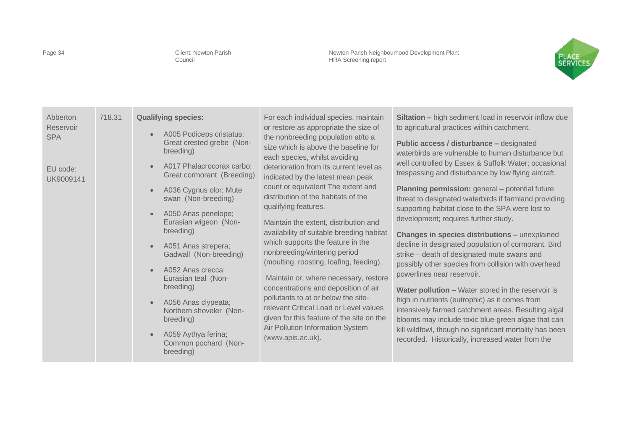**College** 

Page 34 Client: Newton Parish Council



| Abberton<br>Reservoir<br><b>SPA</b> | 718.31 | <b>Qualifying species:</b><br>A005 Podiceps cristatus;<br>$\bullet$<br>Great crested grebe (Non-<br>breeding)                                                                                                                                                                                                                                                                                                                                                                            | For each individual species, maintain<br>or restore as appropriate the size of<br>the nonbreeding population at/to a<br>size which is above the baseline for<br>each species, whilst avoiding                                                                                                                                                                                                                                                                                                                                                                                                                                                                   | Siltation - high sediment load in reservoir inflow due<br>to agricultural practices within catchment.<br>Public access / disturbance - designated<br>waterbirds are vulnerable to human disturbance but                                                                                                                                                                                                                                                                                                                                                                                                                                                                                                                                                                                                                                                                                                     |
|-------------------------------------|--------|------------------------------------------------------------------------------------------------------------------------------------------------------------------------------------------------------------------------------------------------------------------------------------------------------------------------------------------------------------------------------------------------------------------------------------------------------------------------------------------|-----------------------------------------------------------------------------------------------------------------------------------------------------------------------------------------------------------------------------------------------------------------------------------------------------------------------------------------------------------------------------------------------------------------------------------------------------------------------------------------------------------------------------------------------------------------------------------------------------------------------------------------------------------------|-------------------------------------------------------------------------------------------------------------------------------------------------------------------------------------------------------------------------------------------------------------------------------------------------------------------------------------------------------------------------------------------------------------------------------------------------------------------------------------------------------------------------------------------------------------------------------------------------------------------------------------------------------------------------------------------------------------------------------------------------------------------------------------------------------------------------------------------------------------------------------------------------------------|
| EU code:<br>UK9009141               |        | A017 Phalacrocorax carbo;<br>$\bullet$<br>Great cormorant (Breeding)<br>A036 Cygnus olor; Mute<br>$\bullet$<br>swan (Non-breeding)<br>A050 Anas penelope;<br>$\bullet$<br>Eurasian wigeon (Non-<br>breeding)<br>A051 Anas strepera;<br>$\bullet$<br>Gadwall (Non-breeding)<br>A052 Anas crecca;<br>$\bullet$<br>Eurasian teal (Non-<br>breeding)<br>A056 Anas clypeata;<br>$\bullet$<br>Northern shoveler (Non-<br>breeding)<br>A059 Aythya ferina;<br>$\bullet$<br>Common pochard (Non- | deterioration from its current level as<br>indicated by the latest mean peak<br>count or equivalent The extent and<br>distribution of the habitats of the<br>qualifying features.<br>Maintain the extent, distribution and<br>availability of suitable breeding habitat<br>which supports the feature in the<br>nonbreeding/wintering period<br>(moulting, roosting, loafing, feeding).<br>Maintain or, where necessary, restore<br>concentrations and deposition of air<br>pollutants to at or below the site-<br>relevant Critical Load or Level values<br>given for this feature of the site on the<br>Air Pollution Information System<br>(www.apis.ac.uk). | well controlled by Essex & Suffolk Water; occasional<br>trespassing and disturbance by low flying aircraft.<br><b>Planning permission:</b> general - potential future<br>threat to designated waterbirds if farmland providing<br>supporting habitat close to the SPA were lost to<br>development; requires further study.<br>Changes in species distributions - unexplained<br>decline in designated population of cormorant. Bird<br>strike – death of designated mute swans and<br>possibly other species from collision with overhead<br>powerlines near reservoir.<br>Water pollution - Water stored in the reservoir is<br>high in nutrients (eutrophic) as it comes from<br>intensively farmed catchment areas. Resulting algal<br>blooms may include toxic blue-green algae that can<br>kill wildfowl, though no significant mortality has been<br>recorded. Historically, increased water from the |
|                                     |        | breeding)                                                                                                                                                                                                                                                                                                                                                                                                                                                                                |                                                                                                                                                                                                                                                                                                                                                                                                                                                                                                                                                                                                                                                                 |                                                                                                                                                                                                                                                                                                                                                                                                                                                                                                                                                                                                                                                                                                                                                                                                                                                                                                             |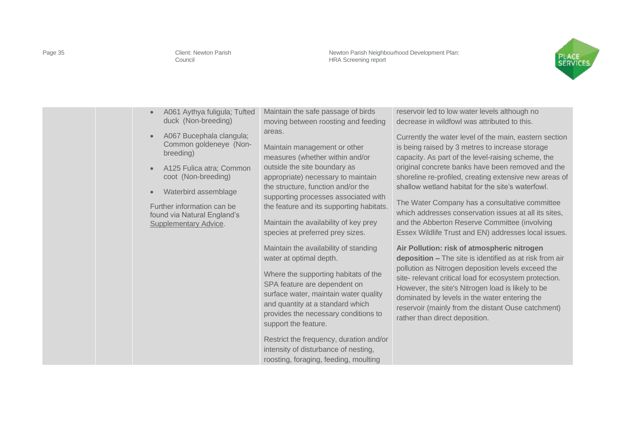

| A061 Aythya fuligula; Tufted<br>$\bullet$<br>duck (Non-breeding)                                                                                                                                                                                                        | Maintain the safe passage of birds<br>moving between roosting and feeding                                                                                                                                                                                                                                                 | reservoir led to low water levels although no<br>decrease in wildfowl was attributed to this.                                                                                                                                                                                                                                                                                                                                                                                                   |
|-------------------------------------------------------------------------------------------------------------------------------------------------------------------------------------------------------------------------------------------------------------------------|---------------------------------------------------------------------------------------------------------------------------------------------------------------------------------------------------------------------------------------------------------------------------------------------------------------------------|-------------------------------------------------------------------------------------------------------------------------------------------------------------------------------------------------------------------------------------------------------------------------------------------------------------------------------------------------------------------------------------------------------------------------------------------------------------------------------------------------|
| A067 Bucephala clangula;<br>$\bullet$<br>Common goldeneye (Non-<br>breeding)<br>A125 Fulica atra; Common<br>$\bullet$<br>coot (Non-breeding)<br>Waterbird assemblage<br>$\bullet$<br>Further information can be<br>found via Natural England's<br>Supplementary Advice. | areas.<br>Maintain management or other<br>measures (whether within and/or<br>outside the site boundary as<br>appropriate) necessary to maintain<br>the structure, function and/or the<br>supporting processes associated with<br>the feature and its supporting habitats.<br>Maintain the availability of key prey        | Currently the water level of the main, eastern section<br>is being raised by 3 metres to increase storage<br>capacity. As part of the level-raising scheme, the<br>original concrete banks have been removed and the<br>shoreline re-profiled, creating extensive new areas of<br>shallow wetland habitat for the site's waterfowl.<br>The Water Company has a consultative committee<br>which addresses conservation issues at all its sites,<br>and the Abberton Reserve Committee (involving |
|                                                                                                                                                                                                                                                                         | species at preferred prey sizes.<br>Maintain the availability of standing<br>water at optimal depth.<br>Where the supporting habitats of the<br>SPA feature are dependent on<br>surface water, maintain water quality<br>and quantity at a standard which<br>provides the necessary conditions to<br>support the feature. | Essex Wildlife Trust and EN) addresses local issues.<br>Air Pollution: risk of atmospheric nitrogen<br>deposition - The site is identified as at risk from air<br>pollution as Nitrogen deposition levels exceed the<br>site-relevant critical load for ecosystem protection.<br>However, the site's Nitrogen load is likely to be<br>dominated by levels in the water entering the<br>reservoir (mainly from the distant Ouse catchment)<br>rather than direct deposition.                     |
|                                                                                                                                                                                                                                                                         | Restrict the frequency, duration and/or<br>intensity of disturbance of nesting,<br>roosting, foraging, feeding, moulting                                                                                                                                                                                                  |                                                                                                                                                                                                                                                                                                                                                                                                                                                                                                 |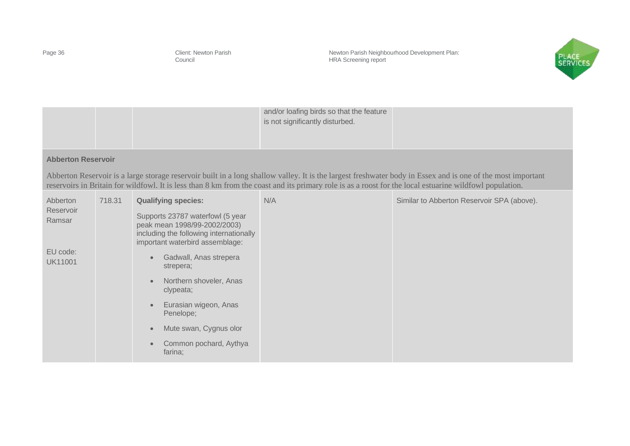| Page 36                                                       |        | <b>Client: Newton Parish</b><br>Council                                                                                                                                                                                                                                                                                                                                                                 | <b>HRA</b> Screening report                                                                                                                             | Newton Parish Neighbourhood Development Plan:                                                                                                               | PLACE<br><b>SERVICES</b> |
|---------------------------------------------------------------|--------|---------------------------------------------------------------------------------------------------------------------------------------------------------------------------------------------------------------------------------------------------------------------------------------------------------------------------------------------------------------------------------------------------------|---------------------------------------------------------------------------------------------------------------------------------------------------------|-------------------------------------------------------------------------------------------------------------------------------------------------------------|--------------------------|
|                                                               |        |                                                                                                                                                                                                                                                                                                                                                                                                         | and/or loafing birds so that the feature<br>is not significantly disturbed.                                                                             |                                                                                                                                                             |                          |
| <b>Abberton Reservoir</b>                                     |        |                                                                                                                                                                                                                                                                                                                                                                                                         |                                                                                                                                                         |                                                                                                                                                             |                          |
|                                                               |        |                                                                                                                                                                                                                                                                                                                                                                                                         | reservoirs in Britain for wildfowl. It is less than 8 km from the coast and its primary role is as a roost for the local estuarine wildfowl population. | Abberton Reservoir is a large storage reservoir built in a long shallow valley. It is the largest freshwater body in Essex and is one of the most important |                          |
| Abberton<br>Reservoir<br>Ramsar<br>EU code:<br><b>UK11001</b> | 718.31 | <b>Qualifying species:</b><br>Supports 23787 waterfowl (5 year<br>peak mean 1998/99-2002/2003)<br>including the following internationally<br>important waterbird assemblage:<br>Gadwall, Anas strepera<br>strepera;<br>Northern shoveler, Anas<br>$\bullet$<br>clypeata;<br>Eurasian wigeon, Anas<br>$\bullet$<br>Penelope;<br>Mute swan, Cygnus olor<br>$\bullet$<br>Common pochard, Aythya<br>farina; | N/A                                                                                                                                                     | Similar to Abberton Reservoir SPA (above).                                                                                                                  |                          |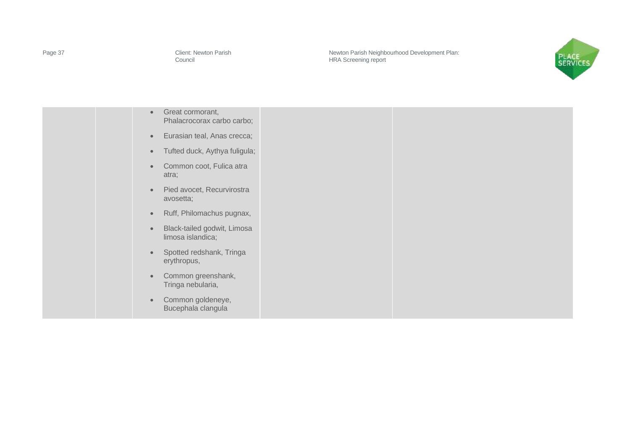

| Great cormorant,<br>$\bullet$<br>Phalacrocorax carbo carbo;   |
|---------------------------------------------------------------|
| Eurasian teal, Anas crecca;<br>$\bullet$                      |
| Tufted duck, Aythya fuligula;<br>$\bullet$                    |
| Common coot, Fulica atra<br>$\bullet$<br>atra;                |
| Pied avocet, Recurvirostra<br>$\bullet$<br>avosetta;          |
| Ruff, Philomachus pugnax,<br>$\bullet$                        |
| Black-tailed godwit, Limosa<br>$\bullet$<br>limosa islandica; |
| Spotted redshank, Tringa<br>$\bullet$<br>erythropus,          |
| Common greenshank,<br>$\bullet$<br>Tringa nebularia,          |
| Common goldeneye,<br>$\bullet$<br>Bucephala clangula          |